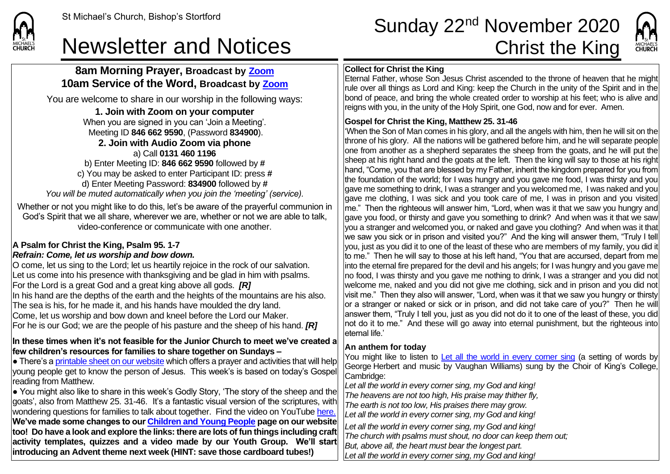### **8am Morning Prayer, Broadcast by [Zoom](https://zoom.us/) 10am Service of the Word, Broadcast by [Zoom](https://zoom.us/)**

You are welcome to share in our worship in the following ways:

### **1. Join with Zoom on your computer**

When you are signed in you can 'Join a Meeting'. Meeting ID **846 662 9590**, (Password **834900**). **2. Join with Audio Zoom via phone**  a) Call **0131 460 1196** b) Enter Meeting ID: **846 662 9590** followed by **#**

c) You may be asked to enter Participant ID: press **#** d) Enter Meeting Password: **834900** followed by **#** *You will be muted automatically when you join the 'meeting' (service).*

Whether or not you might like to do this, let's be aware of the prayerful communion in God's Spirit that we all share, wherever we are, whether or not we are able to talk, video-conference or communicate with one another.

#### **A Psalm for Christ the King, Psalm 95. 1-7** *Refrain: Come, let us worship and bow down.*

O come, let us sing to the Lord; let us heartily rejoice in the rock of our salvation. Let us come into his presence with thanksgiving and be glad in him with psalms. For the Lord is a great God and a great king above all gods. *[R]*

In his hand are the depths of the earth and the heights of the mountains are his also. The sea is his, for he made it, and his hands have moulded the dry land.

Come, let us worship and bow down and kneel before the Lord our Maker.

For he is our God; we are the people of his pasture and the sheep of his hand. *[R]*

#### **In these times when it's not feasible for the Junior Church to meet we've created a few children's resources for families to share together on Sundays –**

 $\bullet$  There's [a printable sheet on our website](https://saintmichaelweb.org.uk/Groups/310496/Children_and_Young.aspx) which offers a prayer and activities that will help young people get to know the person of Jesus. This week's is based on today's Gospel reading from Matthew.

● You might also like to share in this week's Godly Story, 'The story of the sheep and the goats', also from Matthew 25. 31-46. It's a fantastic visual version of the scriptures, with wondering questions for families to talk about together. Find the video on YouTube [here.](https://www.youtube.com/watch?v=eHgMCXjh4yM) **We've made some changes to ou[r Children and Young People](https://saintmichaelweb.org.uk/Groups/310496/Children_and_Young.aspx) page on our website too! Do have a look and explore the links: there are lots of fun things including craft activity templates, quizzes and a video made by our Youth Group. We'll start introducing an Advent theme next week (HINT: save those cardboard tubes!)**

# St Michael's Church, Bishop's Stortford **Sunday 22<sup>nd</sup> November 2020** Newsletter and Notices Christ the King



#### **Collect for Christ the King**

Eternal Father, whose Son Jesus Christ ascended to the throne of heaven that he might rule over all things as Lord and King: keep the Church in the unity of the Spirit and in the bond of peace, and bring the whole created order to worship at his feet; who is alive and reigns with you, in the unity of the Holy Spirit, one God, now and for ever. Amen.

#### **Gospel for Christ the King, Matthew 25. 31-46**

'When the Son of Man comes in his glory, and all the angels with him, then he will sit on the throne of his glory. All the nations will be gathered before him, and he will separate people one from another as a shepherd separates the sheep from the goats, and he will put the sheep at his right hand and the goats at the left. Then the king will say to those at his right hand, "Come, you that are blessed by my Father, inherit the kingdom prepared for you from the foundation of the world; for I was hungry and you gave me food, I was thirsty and you gave me something to drink, I was a stranger and you welcomed me, I was naked and you gave me clothing, I was sick and you took care of me, I was in prison and you visited me." Then the righteous will answer him, "Lord, when was it that we saw you hungry and gave you food, or thirsty and gave you something to drink? And when was it that we saw you a stranger and welcomed you, or naked and gave you clothing? And when was it that we saw you sick or in prison and visited you?" And the king will answer them, "Truly I tell you, just as you did it to one of the least of these who are members of my family, you did it to me." Then he will say to those at his left hand, "You that are accursed, depart from me into the eternal fire prepared for the devil and his angels; for I was hungry and you gave me no food, I was thirsty and you gave me nothing to drink, I was a stranger and you did not welcome me, naked and you did not give me clothing, sick and in prison and you did not visit me." Then they also will answer, "Lord, when was it that we saw you hungry or thirsty or a stranger or naked or sick or in prison, and did not take care of you?" Then he will answer them, "Truly I tell you, just as you did not do it to one of the least of these, you did not do it to me." And these will go away into eternal punishment, but the righteous into eternal life.'

#### **An anthem for today**

You might like to listen to [Let all the world in every corner sing](https://www.youtube.com/watch?v=v7qh9ZMhj-o) (a setting of words by George Herbert and music by Vaughan Williams) sung by the Choir of King's College, Cambridge:

*Let all the world in every corner sing, my God and king! The heavens are not too high, His praise may thither fly,* 

*The earth is not too low, His praises there may grow.*

*Let all the world in every corner sing, my God and king!*

*Let all the world in every corner sing, my God and king!*

*The church with psalms must shout, no door can keep them out;*

*But, above all, the heart must bear the longest part.*

*Let all the world in every corner sing, my God and king!*